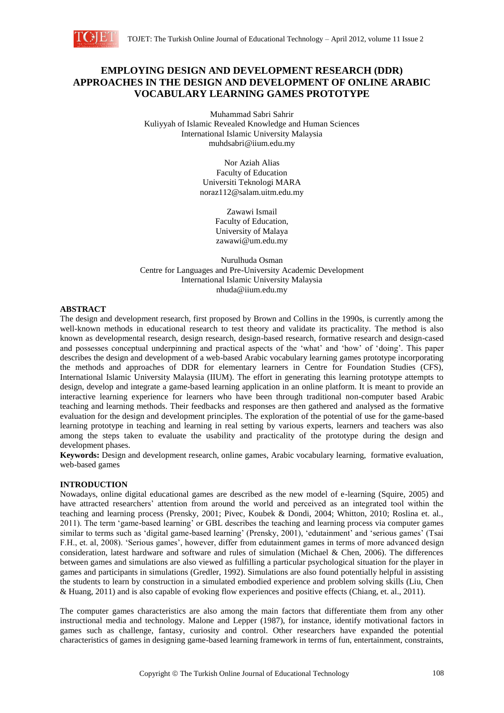

# **EMPLOYING DESIGN AND DEVELOPMENT RESEARCH (DDR) APPROACHES IN THE DESIGN AND DEVELOPMENT OF ONLINE ARABIC VOCABULARY LEARNING GAMES PROTOTYPE**

Muhammad Sabri Sahrir Kuliyyah of Islamic Revealed Knowledge and Human Sciences International Islamic University Malaysia muhdsabri@iium.edu.my

> Nor Aziah Alias Faculty of Education Universiti Teknologi MARA noraz112@salam.uitm.edu.my

> > Zawawi Ismail Faculty of Education, University of Malaya zawawi@um.edu.my

Nurulhuda Osman Centre for Languages and Pre-University Academic Development International Islamic University Malaysia nhuda@iium.edu.my

## **ABSTRACT**

The design and development research, first proposed by Brown and Collins in the 1990s, is currently among the well-known methods in educational research to test theory and validate its practicality. The method is also known as developmental research, design research, design-based research, formative research and design-cased and possesses conceptual underpinning and practical aspects of the 'what' and 'how' of 'doing'. This paper describes the design and development of a web-based Arabic vocabulary learning games prototype incorporating the methods and approaches of DDR for elementary learners in Centre for Foundation Studies (CFS), International Islamic University Malaysia (IIUM). The effort in generating this learning prototype attempts to design, develop and integrate a game-based learning application in an online platform. It is meant to provide an interactive learning experience for learners who have been through traditional non-computer based Arabic teaching and learning methods. Their feedbacks and responses are then gathered and analysed as the formative evaluation for the design and development principles. The exploration of the potential of use for the game-based learning prototype in teaching and learning in real setting by various experts, learners and teachers was also among the steps taken to evaluate the usability and practicality of the prototype during the design and development phases.

**Keywords:** Design and development research, online games, Arabic vocabulary learning, formative evaluation, web-based games

#### **INTRODUCTION**

Nowadays, online digital educational games are described as the new model of e-learning (Squire, 2005) and have attracted researchers' attention from around the world and perceived as an integrated tool within the teaching and learning process (Prensky, 2001; Pivec, Koubek & Dondi, 2004; Whitton, 2010; Roslina et. al., 2011). The term 'game-based learning' or GBL describes the teaching and learning process via computer games similar to terms such as 'digital game-based learning' (Prensky, 2001), 'edutainment' and 'serious games' (Tsai F.H., et. al, 2008). 'Serious games', however, differ from edutainment games in terms of more advanced design consideration, latest hardware and software and rules of simulation (Michael & Chen, 2006). The differences between games and simulations are also viewed as fulfilling a particular psychological situation for the player in games and participants in simulations (Gredler, 1992). Simulations are also found potentially helpful in assisting the students to learn by construction in a simulated embodied experience and problem solving skills (Liu, Chen & Huang, 2011) and is also capable of evoking flow experiences and positive effects (Chiang, et. al., 2011).

The computer games characteristics are also among the main factors that differentiate them from any other instructional media and technology. Malone and Lepper (1987), for instance, identify motivational factors in games such as challenge, fantasy, curiosity and control. Other researchers have expanded the potential characteristics of games in designing game-based learning framework in terms of fun, entertainment, constraints,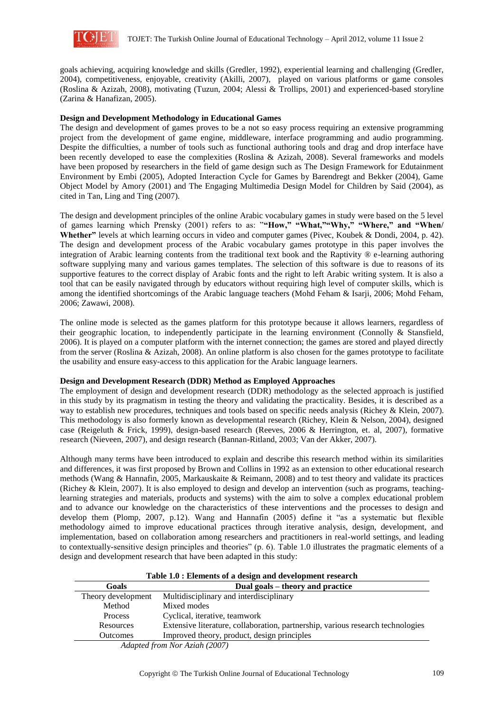

goals achieving, acquiring knowledge and skills (Gredler, 1992), experiential learning and challenging (Gredler, 2004), competitiveness, enjoyable, creativity (Akilli, 2007), played on various platforms or game consoles (Roslina & Azizah, 2008), motivating (Tuzun, 2004; Alessi & Trollips, 2001) and experienced-based storyline (Zarina & Hanafizan, 2005).

## **Design and Development Methodology in Educational Games**

The design and development of games proves to be a not so easy process requiring an extensive programming project from the development of game engine, middleware, interface programming and audio programming. Despite the difficulties, a number of tools such as functional authoring tools and drag and drop interface have been recently developed to ease the complexities (Roslina & Azizah, 2008). Several frameworks and models have been proposed by researchers in the field of game design such as The Design Framework for Edutainment Environment by Embi (2005), Adopted Interaction Cycle for Games by Barendregt and Bekker (2004), Game Object Model by Amory (2001) and The Engaging Multimedia Design Model for Children by Said (2004), as cited in Tan, Ling and Ting (2007).

The design and development principles of the online Arabic vocabulary games in study were based on the 5 level of games learning which Prensky (2001) refers to as: "**"How," "What,""Why," "Where," and "When/ Whether"** levels at which learning occurs in video and computer games (Pivec, Koubek & Dondi, 2004, p. 42). The design and development process of the Arabic vocabulary games prototype in this paper involves the integration of Arabic learning contents from the traditional text book and the Raptivity ® e-learning authoring software supplying many and various games templates. The selection of this software is due to reasons of its supportive features to the correct display of Arabic fonts and the right to left Arabic writing system. It is also a tool that can be easily navigated through by educators without requiring high level of computer skills, which is among the identified shortcomings of the Arabic language teachers (Mohd Feham & Isarji, 2006; Mohd Feham, 2006; Zawawi, 2008).

The online mode is selected as the games platform for this prototype because it allows learners, regardless of their geographic location, to independently participate in the learning environment (Connolly & Stansfield, 2006). It is played on a computer platform with the internet connection; the games are stored and played directly from the server (Roslina & Azizah, 2008). An online platform is also chosen for the games prototype to facilitate the usability and ensure easy-access to this application for the Arabic language learners.

#### **Design and Development Research (DDR) Method as Employed Approaches**

The employment of design and development research (DDR) methodology as the selected approach is justified in this study by its pragmatism in testing the theory and validating the practicality. Besides, it is described as a way to establish new procedures, techniques and tools based on specific needs analysis (Richey & Klein, 2007). This methodology is also formerly known as developmental research (Richey, Klein & Nelson, 2004), designed case (Reigeluth & Frick, 1999), design-based research (Reeves, 2006 & Herrington, et. al, 2007), formative research (Nieveen, 2007), and design research (Bannan-Ritland, 2003; Van der Akker, 2007).

Although many terms have been introduced to explain and describe this research method within its similarities and differences, it was first proposed by Brown and Collins in 1992 as an extension to other educational research methods (Wang & Hannafin, 2005, Markauskaite & Reimann, 2008) and to test theory and validate its practices (Richey & Klein, 2007). It is also employed to design and develop an intervention (such as programs, teachinglearning strategies and materials, products and systems) with the aim to solve a complex educational problem and to advance our knowledge on the characteristics of these interventions and the processes to design and develop them (Plomp, 2007, p.12). Wang and Hannafin (2005) define it "as a systematic but flexible methodology aimed to improve educational practices through iterative analysis, design, development, and implementation, based on collaboration among researchers and practitioners in real-world settings, and leading to contextually-sensitive design principles and theories" (p. 6). Table 1.0 illustrates the pragmatic elements of a design and development research that have been adapted in this study:

**Table 1.0 : Elements of a design and development research**

| Goals                                                                                            | Dual goals – theory and practice                                                |  |
|--------------------------------------------------------------------------------------------------|---------------------------------------------------------------------------------|--|
| Theory development                                                                               | Multidisciplinary and interdisciplinary                                         |  |
| Method                                                                                           | Mixed modes                                                                     |  |
| <b>Process</b>                                                                                   | Cyclical, iterative, teamwork                                                   |  |
| Resources                                                                                        | Extensive literature, collaboration, partnership, various research technologies |  |
| <b>Outcomes</b>                                                                                  | Improved theory, product, design principles                                     |  |
| $\Lambda$ $J_{n+1}$ , $J$ $f_{n+1}$ , $\Lambda$ $J_{n}$ , $\Lambda$ $J_{n}$ , $\Lambda$ $(2007)$ |                                                                                 |  |

*Adapted from Nor Aziah (2007)*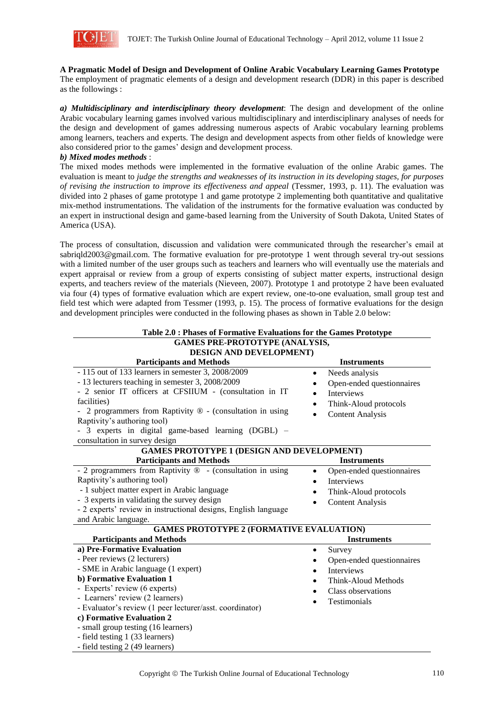

**A Pragmatic Model of Design and Development of Online Arabic Vocabulary Learning Games Prototype** The employment of pragmatic elements of a design and development research (DDR) in this paper is described as the followings :

*a) Multidisciplinary and interdisciplinary theory development*: The design and development of the online Arabic vocabulary learning games involved various multidisciplinary and interdisciplinary analyses of needs for the design and development of games addressing numerous aspects of Arabic vocabulary learning problems among learners, teachers and experts. The design and development aspects from other fields of knowledge were also considered prior to the games' design and development process.

*b) Mixed modes methods* :

The mixed modes methods were implemented in the formative evaluation of the online Arabic games. The evaluation is meant to *judge the strengths and weaknesses of its instruction in its developing stages, for purposes of revising the instruction to improve its effectiveness and appeal* (Tessmer, 1993, p. 11). The evaluation was divided into 2 phases of game prototype 1 and game prototype 2 implementing both quantitative and qualitative mix-method instrumentations. The validation of the instruments for the formative evaluation was conducted by an expert in instructional design and game-based learning from the University of South Dakota, United States of America (USA).

The process of consultation, discussion and validation were communicated through the researcher's email at sabriqld2003@gmail.com. The formative evaluation for pre-prototype 1 went through several try-out sessions with a limited number of the user groups such as teachers and learners who will eventually use the materials and expert appraisal or review from a group of experts consisting of subject matter experts, instructional design experts, and teachers review of the materials (Nieveen, 2007). Prototype 1 and prototype 2 have been evaluated via four (4) types of formative evaluation which are expert review, one-to-one evaluation, small group test and field test which were adapted from Tessmer (1993, p. 15). The process of formative evaluations for the design and development principles were conducted in the following phases as shown in Table 2.0 below:

| Table 2.0 : Phases of Formative Evaluations for the Games Prototype |                                        |  |  |  |
|---------------------------------------------------------------------|----------------------------------------|--|--|--|
| <b>GAMES PRE-PROTOTYPE (ANALYSIS,</b>                               |                                        |  |  |  |
| DESIGN AND DEVELOPMENT)                                             |                                        |  |  |  |
| <b>Participants and Methods</b>                                     | <b>Instruments</b>                     |  |  |  |
| - 115 out of 133 learners in semester 3, 2008/2009                  | Needs analysis<br>$\bullet$            |  |  |  |
| - 13 lecturers teaching in semester 3, 2008/2009                    | Open-ended questionnaires              |  |  |  |
| - 2 senior IT officers at CFSIIUM - (consultation in IT             | <b>Interviews</b>                      |  |  |  |
| facilities)                                                         | Think-Aloud protocols                  |  |  |  |
| 2 programmers from Raptivity $\mathcal{D}$ - (consultation in using | <b>Content Analysis</b><br>$\bullet$   |  |  |  |
| Raptivity's authoring tool)                                         |                                        |  |  |  |
| - 3 experts in digital game-based learning (DGBL) –                 |                                        |  |  |  |
| consultation in survey design                                       |                                        |  |  |  |
| <b>GAMES PROTOTYPE 1 (DESIGN AND DEVELOPMENT)</b>                   |                                        |  |  |  |
| <b>Participants and Methods</b>                                     | <b>Instruments</b>                     |  |  |  |
| - 2 programmers from Raptivity ® - (consultation in using           | Open-ended questionnaires<br>$\bullet$ |  |  |  |
| Raptivity's authoring tool)                                         | <b>Interviews</b><br>$\bullet$         |  |  |  |
| - 1 subject matter expert in Arabic language                        | Think-Aloud protocols                  |  |  |  |
| - 3 experts in validating the survey design                         | <b>Content Analysis</b><br>$\bullet$   |  |  |  |
| - 2 experts' review in instructional designs, English language      |                                        |  |  |  |
| and Arabic language.                                                |                                        |  |  |  |
| <b>GAMES PROTOTYPE 2 (FORMATIVE EVALUATION)</b>                     |                                        |  |  |  |
| <b>Participants and Methods</b>                                     | <b>Instruments</b>                     |  |  |  |
| a) Pre-Formative Evaluation                                         | Survey<br>$\bullet$                    |  |  |  |
| - Peer reviews (2 lecturers)                                        | Open-ended questionnaires<br>$\bullet$ |  |  |  |
| - SME in Arabic language (1 expert)                                 | <b>Interviews</b><br>$\bullet$         |  |  |  |
| b) Formative Evaluation 1                                           | Think-Aloud Methods                    |  |  |  |
| - Experts' review (6 experts)                                       | Class observations                     |  |  |  |
| - Learners' review (2 learners)                                     | Testimonials                           |  |  |  |
| - Evaluator's review (1 peer lecturer/asst. coordinator)            |                                        |  |  |  |
| c) Formative Evaluation 2                                           |                                        |  |  |  |
| - small group testing (16 learners)                                 |                                        |  |  |  |
| - field testing 1 (33 learners)                                     |                                        |  |  |  |
| - field testing 2 (49 learners)                                     |                                        |  |  |  |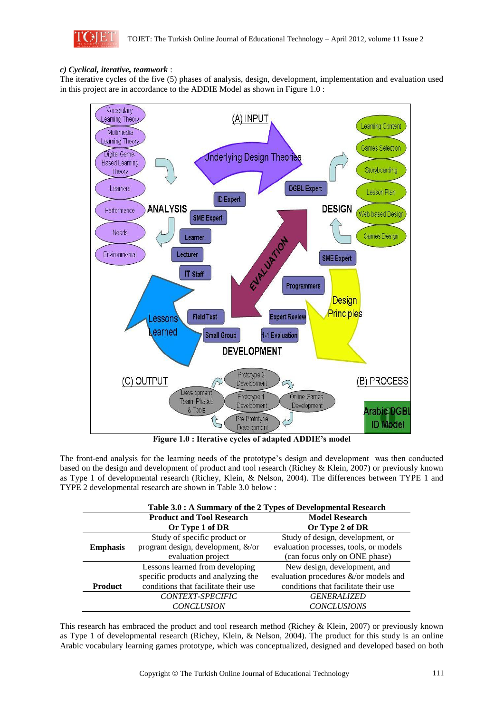

## *c) Cyclical, iterative, teamwork* :

The iterative cycles of the five (5) phases of analysis, design, development, implementation and evaluation used in this project are in accordance to the ADDIE Model as shown in Figure 1.0 :



**Figure 1.0 : Iterative cycles of adapted ADDIE's model**

The front-end analysis for the learning needs of the prototype's design and development was then conducted based on the design and development of product and tool research (Richey & Klein, 2007) or previously known as Type 1 of developmental research (Richey, Klein, & Nelson, 2004). The differences between TYPE 1 and TYPE 2 developmental research are shown in Table 3.0 below :

| Table 3.0 : A Summary of the 2 Types of Developmental Research |                                      |                                        |  |  |
|----------------------------------------------------------------|--------------------------------------|----------------------------------------|--|--|
| <b>Product and Tool Research</b>                               |                                      | <b>Model Research</b>                  |  |  |
|                                                                | Or Type 1 of DR                      | Or Type 2 of DR                        |  |  |
|                                                                | Study of specific product or         | Study of design, development, or       |  |  |
| <b>Emphasis</b>                                                | program design, development, &/or    | evaluation processes, tools, or models |  |  |
|                                                                | evaluation project                   | (can focus only on ONE phase)          |  |  |
|                                                                | Lessons learned from developing      | New design, development, and           |  |  |
|                                                                | specific products and analyzing the  | evaluation procedures &/or models and  |  |  |
| <b>Product</b>                                                 | conditions that facilitate their use | conditions that facilitate their use   |  |  |
|                                                                | CONTEXT-SPECIFIC                     | <b>GENERALIZED</b>                     |  |  |
|                                                                | <b>CONCLUSION</b>                    | <b>CONCLUSIONS</b>                     |  |  |

This research has embraced the product and tool research method (Richey & Klein, 2007) or previously known as Type 1 of developmental research (Richey, Klein, & Nelson, 2004). The product for this study is an online Arabic vocabulary learning games prototype, which was conceptualized, designed and developed based on both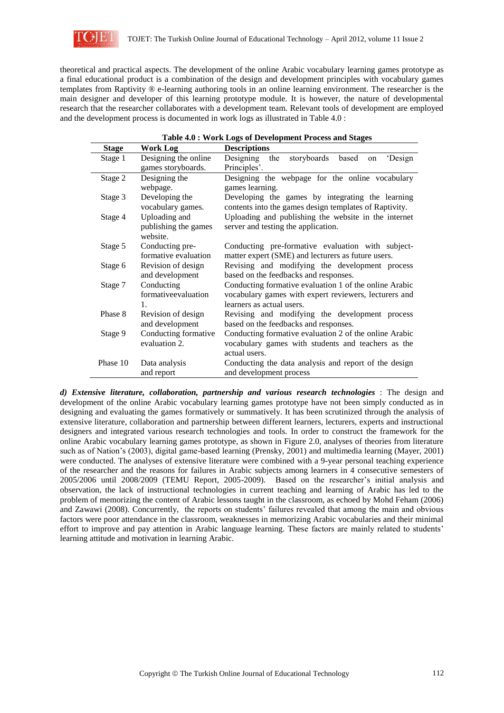

theoretical and practical aspects. The development of the online Arabic vocabulary learning games prototype as a final educational product is a combination of the design and development principles with vocabulary games templates from Raptivity ® e-learning authoring tools in an online learning environment. The researcher is the main designer and developer of this learning prototype module. It is however, the nature of developmental research that the researcher collaborates with a development team. Relevant tools of development are employed and the development process is documented in work logs as illustrated in Table 4.0 :

**Table 4.0 : Work Logs of Development Process and Stages**

| <b>Stage</b> | Work Log                                            | Table 4.0. Well Logs of Development I focess and stages<br><b>Descriptions</b>                                                               |
|--------------|-----------------------------------------------------|----------------------------------------------------------------------------------------------------------------------------------------------|
| Stage 1      | Designing the online<br>games storyboards.          | storyboards<br>'Design<br>Designing<br>the<br>based<br>on<br>Principles'.                                                                    |
| Stage 2      | Designing the<br>webpage.                           | Designing the webpage for the online vocabulary<br>games learning.                                                                           |
| Stage 3      | Developing the<br>vocabulary games.                 | Developing the games by integrating the learning<br>contents into the games design templates of Raptivity.                                   |
| Stage 4      | Uploading and<br>publishing the games<br>website.   | Uploading and publishing the website in the internet<br>server and testing the application.                                                  |
| Stage 5      | Conducting pre-<br>formative evaluation             | Conducting pre-formative evaluation with subject-<br>matter expert (SME) and lecturers as future users.                                      |
| Stage 6      | Revision of design<br>and development               | Revising and modifying the development process<br>based on the feedbacks and responses.                                                      |
| Stage 7      | Conducting<br>formativeevaluation<br>$\mathbf{1}$ . | Conducting formative evaluation 1 of the online Arabic<br>vocabulary games with expert reviewers, lecturers and<br>learners as actual users. |
| Phase 8      | Revision of design<br>and development               | Revising and modifying the development process<br>based on the feedbacks and responses.                                                      |
| Stage 9      | Conducting formative<br>evaluation 2.               | Conducting formative evaluation 2 of the online Arabic<br>vocabulary games with students and teachers as the<br>actual users.                |
| Phase 10     | Data analysis<br>and report                         | Conducting the data analysis and report of the design<br>and development process                                                             |

*d) Extensive literature, collaboration, partnership and various research technologies* : The design and development of the online Arabic vocabulary learning games prototype have not been simply conducted as in designing and evaluating the games formatively or summatively. It has been scrutinized through the analysis of extensive literature, collaboration and partnership between different learners, lecturers, experts and instructional designers and integrated various research technologies and tools. In order to construct the framework for the online Arabic vocabulary learning games prototype, as shown in Figure 2.0, analyses of theories from literature such as of Nation's (2003), digital game-based learning (Prensky, 2001) and multimedia learning (Mayer, 2001) were conducted. The analyses of extensive literature were combined with a 9-year personal teaching experience of the researcher and the reasons for failures in Arabic subjects among learners in 4 consecutive semesters of 2005/2006 until 2008/2009 (TEMU Report, 2005-2009). Based on the researcher's initial analysis and observation, the lack of instructional technologies in current teaching and learning of Arabic has led to the problem of memorizing the content of Arabic lessons taught in the classroom, as echoed by Mohd Feham (2006) and Zawawi (2008). Concurrently, the reports on students' failures revealed that among the main and obvious factors were poor attendance in the classroom, weaknesses in memorizing Arabic vocabularies and their minimal effort to improve and pay attention in Arabic language learning. These factors are mainly related to students' learning attitude and motivation in learning Arabic.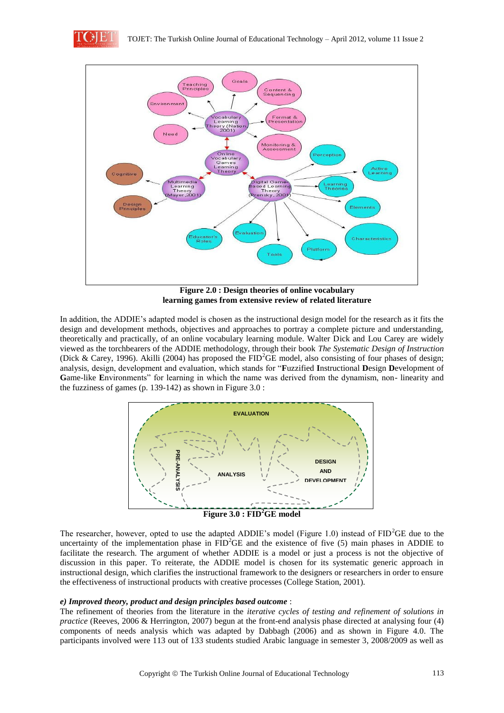



**Figure 2.0 : Design theories of online vocabulary learning games from extensive review of related literature**

In addition, the ADDIE's adapted model is chosen as the instructional design model for the research as it fits the design and development methods, objectives and approaches to portray a complete picture and understanding, theoretically and practically, of an online vocabulary learning module. Walter Dick and Lou Carey are widely viewed as the torchbearers of the ADDIE methodology, through their book *The Systematic Design of Instruction*  (Dick & Carey, 1996). Akilli (2004) has proposed the  $FID^2GE$  model, also consisting of four phases of design; analysis, design, development and evaluation, which stands for "**F**uzzified **I**nstructional **D**esign **D**evelopment of **G**ame-like **E**nvironments" for learning in which the name was derived from the dynamism, non- linearity and the fuzziness of games (p. 139-142) as shown in Figure 3.0 :



The researcher, however, opted to use the adapted ADDIE's model (Figure 1.0) instead of FID<sup>2</sup>GE due to the uncertainty of the implementation phase in  $FID^2GE$  and the existence of five (5) main phases in ADDIE to facilitate the research. The argument of whether ADDIE is a model or just a process is not the objective of discussion in this paper. To reiterate, the ADDIE model is chosen for its systematic generic approach in instructional design, which clarifies the instructional framework to the designers or researchers in order to ensure the effectiveness of instructional products with creative processes (College Station, 2001).

#### *e) Improved theory, product and design principles based outcome* :

The refinement of theories from the literature in the *iterative cycles of testing and refinement of solutions in practice* (Reeves, 2006 & Herrington, 2007) begun at the front-end analysis phase directed at analysing four (4) components of needs analysis which was adapted by Dabbagh (2006) and as shown in Figure 4.0. The participants involved were 113 out of 133 students studied Arabic language in semester 3, 2008/2009 as well as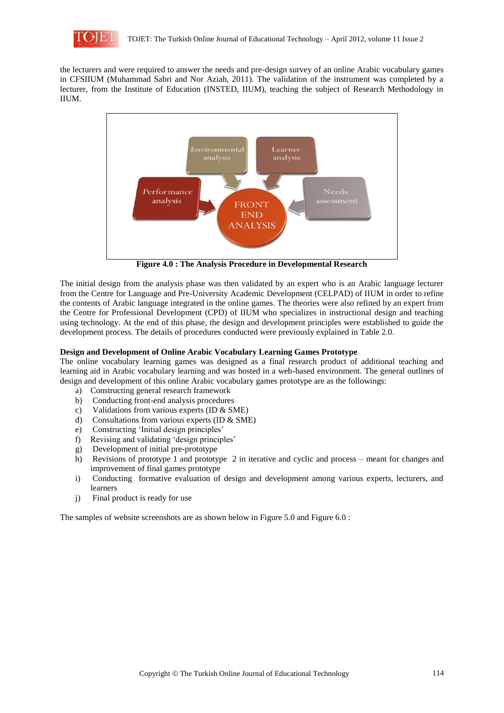

the lecturers and were required to answer the needs and pre-design survey of an online Arabic vocabulary games in CFSIIUM (Muhammad Sabri and Nor Aziah, 2011). The validation of the instrument was completed by a lecturer, from the Institute of Education (INSTED, IIUM), teaching the subject of Research Methodology in IIUM.



**Figure 4.0 : The Analysis Procedure in Developmental Research**

The initial design from the analysis phase was then validated by an expert who is an Arabic language lecturer from the Centre for Language and Pre-University Academic Development (CELPAD) of IIUM in order to refine the contents of Arabic language integrated in the online games. The theories were also refined by an expert from the Centre for Professional Development (CPD) of IIUM who specializes in instructional design and teaching using technology. At the end of this phase, the design and development principles were established to guide the development process. The details of procedures conducted were previously explained in Table 2.0.

## **Design and Development of Online Arabic Vocabulary Learning Games Prototype**

The online vocabulary learning games was designed as a final research product of additional teaching and learning aid in Arabic vocabulary learning and was hosted in a web-based environment. The general outlines of design and development of this online Arabic vocabulary games prototype are as the followings:

- a) Constructing general research framework
- b) Conducting front-end analysis procedures
- c) Validations from various experts (ID & SME)
- d) Consultations from various experts (ID & SME)
- e) Constructing 'Initial design principles'
- f) Revising and validating 'design principles'
- g) Development of initial pre-prototype
- h) Revisions of prototype 1 and prototype 2 in iterative and cyclic and process meant for changes and improvement of final games prototype
- i) Conducting formative evaluation of design and development among various experts, lecturers, and learners
- j) Final product is ready for use

The samples of website screenshots are as shown below in Figure 5.0 and Figure 6.0 :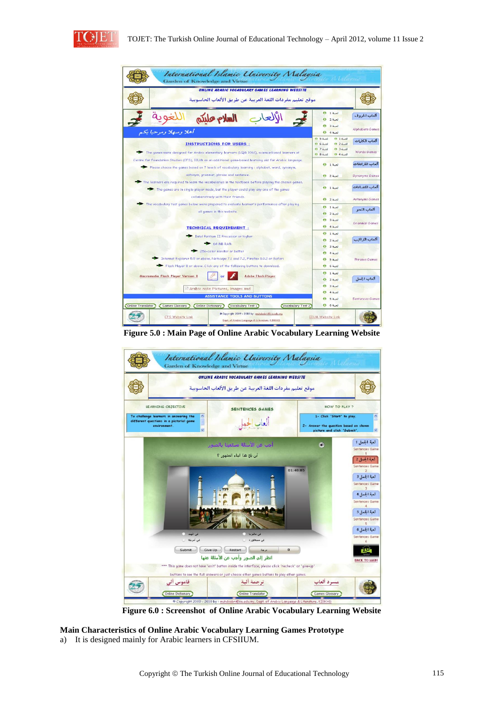



**Figure 5.0 : Main Page of Online Arabic Vocabulary Learning Website**



**Figure 6.0 : Screenshot of Online Arabic Vocabulary Learning Website**

**Main Characteristics of Online Arabic Vocabulary Learning Games Prototype**  a) It is designed mainly for Arabic learners in CFSIIUM.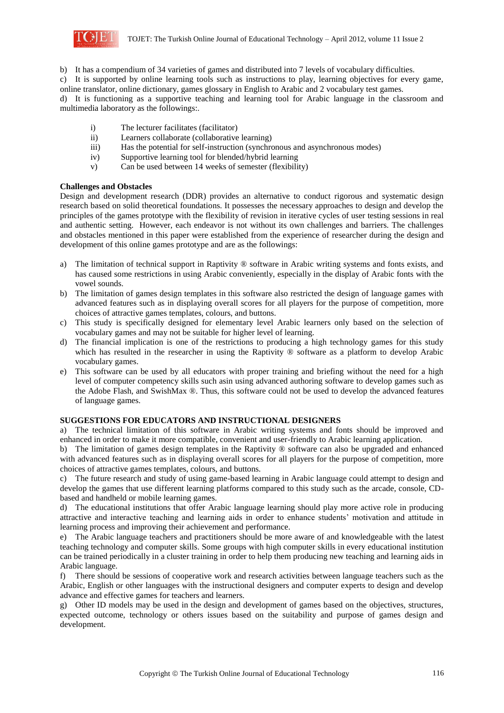

b) It has a compendium of 34 varieties of games and distributed into 7 levels of vocabulary difficulties.

c) It is supported by online learning tools such as instructions to play, learning objectives for every game, online translator, online dictionary, games glossary in English to Arabic and 2 vocabulary test games.

d) It is functioning as a supportive teaching and learning tool for Arabic language in the classroom and multimedia laboratory as the followings:.

- i) The lecturer facilitates (facilitator)
- ii) Learners collaborate (collaborative learning)
- iii) Has the potential for self-instruction (synchronous and asynchronous modes)
- iv) Supportive learning tool for blended/hybrid learning
- v) Can be used between 14 weeks of semester (flexibility)

## **Challenges and Obstacles**

Design and development research (DDR) provides an alternative to conduct rigorous and systematic design research based on solid theoretical foundations. It possesses the necessary approaches to design and develop the principles of the games prototype with the flexibility of revision in iterative cycles of user testing sessions in real and authentic setting. However, each endeavor is not without its own challenges and barriers. The challenges and obstacles mentioned in this paper were established from the experience of researcher during the design and development of this online games prototype and are as the followings:

- a) The limitation of technical support in Raptivity ® software in Arabic writing systems and fonts exists, and has caused some restrictions in using Arabic conveniently, especially in the display of Arabic fonts with the vowel sounds.
- b) The limitation of games design templates in this software also restricted the design of language games with advanced features such as in displaying overall scores for all players for the purpose of competition, more choices of attractive games templates, colours, and buttons.
- c) This study is specifically designed for elementary level Arabic learners only based on the selection of vocabulary games and may not be suitable for higher level of learning.
- d) The financial implication is one of the restrictions to producing a high technology games for this study which has resulted in the researcher in using the Raptivity  $\circledR$  software as a platform to develop Arabic vocabulary games.
- e) This software can be used by all educators with proper training and briefing without the need for a high level of computer competency skills such asin using advanced authoring software to develop games such as the Adobe Flash, and SwishMax ®. Thus, this software could not be used to develop the advanced features of language games.

#### **SUGGESTIONS FOR EDUCATORS AND INSTRUCTIONAL DESIGNERS**

a) The technical limitation of this software in Arabic writing systems and fonts should be improved and enhanced in order to make it more compatible, convenient and user-friendly to Arabic learning application.

b) The limitation of games design templates in the Raptivity ® software can also be upgraded and enhanced with advanced features such as in displaying overall scores for all players for the purpose of competition, more choices of attractive games templates, colours, and buttons.

c) The future research and study of using game-based learning in Arabic language could attempt to design and develop the games that use different learning platforms compared to this study such as the arcade, console, CDbased and handheld or mobile learning games.

d) The educational institutions that offer Arabic language learning should play more active role in producing attractive and interactive teaching and learning aids in order to enhance students' motivation and attitude in learning process and improving their achievement and performance.

e) The Arabic language teachers and practitioners should be more aware of and knowledgeable with the latest teaching technology and computer skills. Some groups with high computer skills in every educational institution can be trained periodically in a cluster training in order to help them producing new teaching and learning aids in Arabic language.

f) There should be sessions of cooperative work and research activities between language teachers such as the Arabic, English or other languages with the instructional designers and computer experts to design and develop advance and effective games for teachers and learners.

g) Other ID models may be used in the design and development of games based on the objectives, structures, expected outcome, technology or others issues based on the suitability and purpose of games design and development.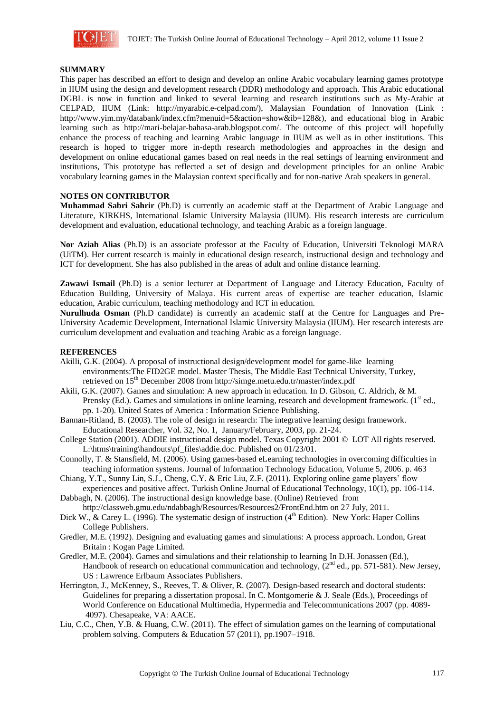

#### **SUMMARY**

This paper has described an effort to design and develop an online Arabic vocabulary learning games prototype in IIUM using the design and development research (DDR) methodology and approach. This Arabic educational DGBL is now in function and linked to several learning and research institutions such as My-Arabic at CELPAD, IIUM (Link: http://myarabic.e-celpad.com/), Malaysian Foundation of Innovation (Link : http://www.yim.my/databank/index.cfm?menuid=5&action=show&ib=128&), and educational blog in Arabic learning such as http://mari-belajar-bahasa-arab.blogspot.com/. The outcome of this project will hopefully enhance the process of teaching and learning Arabic language in IIUM as well as in other institutions. This research is hoped to trigger more in-depth research methodologies and approaches in the design and development on online educational games based on real needs in the real settings of learning environment and institutions, This prototype has reflected a set of design and development principles for an online Arabic vocabulary learning games in the Malaysian context specifically and for non-native Arab speakers in general.

## **NOTES ON CONTRIBUTOR**

**Muhammad Sabri Sahrir** (Ph.D) is currently an academic staff at the Department of Arabic Language and Literature, KIRKHS, International Islamic University Malaysia (IIUM). His research interests are curriculum development and evaluation, educational technology, and teaching Arabic as a foreign language.

**Nor Aziah Alias** (Ph.D) is an associate professor at the Faculty of Education, Universiti Teknologi MARA (UiTM). Her current research is mainly in educational design research, instructional design and technology and ICT for development. She has also published in the areas of adult and online distance learning.

**Zawawi Ismail** (Ph.D) is a senior lecturer at Department of Language and Literacy Education, Faculty of Education Building, University of Malaya. His current areas of expertise are teacher education, Islamic education, Arabic curriculum, teaching methodology and ICT in education.

**Nurulhuda Osman** (Ph.D candidate) is currently an academic staff at the Centre for Languages and Pre-University Academic Development, International Islamic University Malaysia (IIUM). Her research interests are curriculum development and evaluation and teaching Arabic as a foreign language.

## **REFERENCES**

- Akilli, G.K. (2004). A proposal of instructional design/development model for game-like learning environments:The FID2GE model. Master Thesis, The Middle East Technical University, Turkey, retrieved on 15<sup>th</sup> December 2008 from http://simge.metu.edu.tr/master/index.pdf
- Akili, G.K. (2007). Games and simulation: A new approach in education. In D. Gibson, C. Aldrich, & M. Prensky (Ed.). Games and simulations in online learning, research and development framework.  $(1<sup>st</sup>$  ed., pp. 1-20). United States of America : Information Science Publishing.
- Bannan-Ritland, B. (2003). The role of design in research: The integrative learning design framework. Educational Researcher, Vol. 32, No. 1, January/February, 2003, pp. 21-24.
- College Station (2001). ADDIE instructional design model. Texas Copyright 2001 © LOT All rights reserved. L:\htms\training\handouts\pf\_files\addie.doc. Published on 01/23/01.
- Connolly, T. & Stansfield, M. (2006). Using games-based eLearning technologies in overcoming difficulties in teaching information systems. Journal of Information Technology Education, Volume 5, 2006. p. 463
- Chiang, Y.T., Sunny Lin, S.J., Cheng, C.Y. & Eric Liu, Z.F. (2011). Exploring online game players' flow experiences and positive affect. Turkish Online Journal of Educational Technology, 10(1), pp. 106-114.
- Dabbagh, N. (2006). The instructional design knowledge base. (Online) Retrieved from http://classweb.gmu.edu/ndabbagh/Resources/Resources2/FrontEnd.htm on 27 July, 2011.
- Dick W.,  $\&$  Carey L. (1996). The systematic design of instruction (4<sup>th</sup> Edition). New York: Haper Collins College Publishers.
- Gredler, M.E. (1992). Designing and evaluating games and simulations: A process approach. London, Great Britain : Kogan Page Limited.
- Gredler, M.E. (2004). Games and simulations and their relationship to learning In D.H. Jonassen (Ed.), Handbook of research on educational communication and technology,  $(2<sup>nd</sup>$  ed., pp. 571-581). New Jersey, US : Lawrence Erlbaum Associates Publishers.
- Herrington, J., McKenney, S., Reeves, T. & Oliver, R. (2007). Design-based research and doctoral students: Guidelines for preparing a dissertation proposal. In C. Montgomerie & J. Seale (Eds.), Proceedings of World Conference on Educational Multimedia, Hypermedia and Telecommunications 2007 (pp. 4089- 4097). Chesapeake, VA: AACE.
- Liu, C.C., Chen, Y.B. & Huang, C.W. (2011). The effect of simulation games on the learning of computational problem solving. Computers & Education 57 (2011), pp.1907–1918.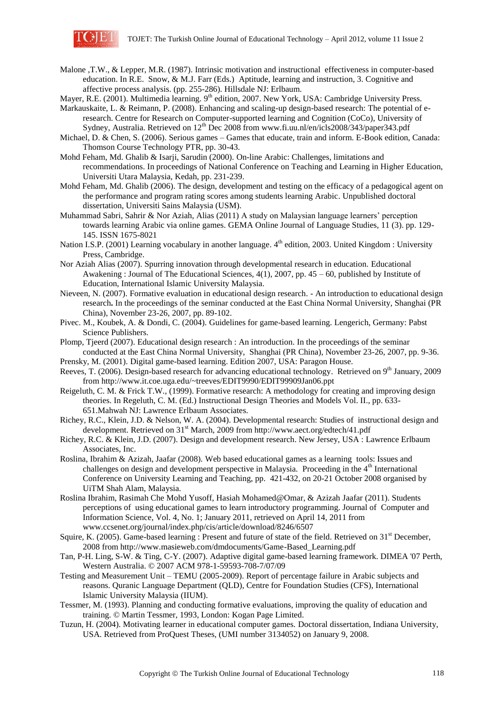

- Malone ,T.W., & Lepper, M.R. (1987). Intrinsic motivation and instructional effectiveness in computer-based education. In R.E. Snow, & M.J. Farr (Eds.) Aptitude, learning and instruction, 3. Cognitive and affective process analysis. (pp. 255-286). Hillsdale NJ: Erlbaum.
- Mayer, R.E. (2001). Multimedia learning. 9<sup>th</sup> edition, 2007. New York, USA: Cambridge University Press.

Markauskaite, L. & Reimann, P. (2008). Enhancing and scaling-up design-based research: The potential of eresearch. Centre for Research on Computer-supported learning and Cognition (CoCo), University of Sydney, Australia. Retrieved on  $12^{th}$  Dec 2008 from www.fi.uu.nl/en/icls2008/343/paper343.pdf

- Michael, D. & Chen, S. (2006). Serious games Games that educate, train and inform. E-Book edition, Canada: Thomson Course Technology PTR, pp. 30-43.
- Mohd Feham, Md. Ghalib & Isarji, Sarudin (2000). On-line Arabic: Challenges, limitations and recommendations. In proceedings of National Conference on Teaching and Learning in Higher Education, Universiti Utara Malaysia, Kedah, pp. 231-239.
- Mohd Feham, Md. Ghalib (2006). The design, development and testing on the efficacy of a pedagogical agent on the performance and program rating scores among students learning Arabic. Unpublished doctoral dissertation, Universiti Sains Malaysia (USM).
- Muhammad Sabri, Sahrir & Nor Aziah, Alias (2011) A study on Malaysian language learners' perception towards learning Arabic via online games. GEMA Online Journal of Language Studies, 11 (3). pp. 129- 145. ISSN 1675-8021
- Nation I.S.P. (2001) Learning vocabulary in another language.  $4<sup>th</sup>$  edition, 2003. United Kingdom : University Press, Cambridge.
- Nor Aziah Alias (2007). Spurring innovation through developmental research in education. Educational Awakening : Journal of The Educational Sciences, 4(1), 2007, pp. 45 – 60, published by Institute of Education, International Islamic University Malaysia.
- Nieveen, N. (2007). Formative evaluation in educational design research. An introduction to educational design research**.** In the proceedings of the seminar conducted at the East China Normal University, Shanghai (PR China), November 23-26, 2007, pp. 89-102.
- Pivec. M., Koubek, A. & Dondi, C. (2004). Guidelines for game-based learning. Lengerich, Germany: Pabst Science Publishers.
- Plomp, Tjeerd (2007). Educational design research : An introduction. In the proceedings of the seminar conducted at the East China Normal University, Shanghai (PR China), November 23-26, 2007, pp. 9-36.

Prensky, M. (2001). Digital game-based learning. Edition 2007, USA: Paragon House.

- Reeves, T. (2006). Design-based research for advancing educational technology. Retrieved on 9<sup>th</sup> January, 2009 from http://www.it.coe.uga.edu/~treeves/EDIT9990/EDIT99909Jan06.ppt
- Reigeluth, C. M. & Frick T.W., (1999). Formative research: A methodology for creating and improving design theories. In Regeluth, C. M. (Ed.) Instructional Design Theories and Models Vol. II., pp. 633- 651.Mahwah NJ: Lawrence Erlbaum Associates.
- Richey, R.C., Klein, J.D. & Nelson, W. A. (2004). Developmental research: Studies of instructional design and development. Retrieved on 31<sup>st</sup> March, 2009 from http://www.aect.org/edtech/41.pdf
- Richey, R.C. & Klein, J.D. (2007). Design and development research. New Jersey, USA : Lawrence Erlbaum Associates, Inc.
- Roslina, Ibrahim & Azizah, Jaafar (2008). Web based educational games as a learning tools: Issues and challenges on design and development perspective in Malaysia. Proceeding in the  $4<sup>th</sup>$  International Conference on University Learning and Teaching, pp. 421-432, on 20-21 October 2008 organised by UiTM Shah Alam, Malaysia.
- Roslina Ibrahim, Rasimah Che Mohd Yusoff, Hasiah Mohamed@Omar, & Azizah Jaafar (2011). Students perceptions of using educational games to learn introductory programming. Journal of Computer and Information Science, Vol. 4, No. 1; January 2011, retrieved on April 14, 2011 from www.ccsenet.org/journal/index.php/cis/article/download/8246/6507
- Squire, K. (2005). Game-based learning : Present and future of state of the field. Retrieved on  $31<sup>st</sup>$  December, 2008 from http://www.masieweb.com/dmdocuments/Game-Based\_Learning.pdf
- Tan, P-H. Ling, S-W. & Ting, C-Y. (2007). Adaptive digital game-based learning framework. DIMEA '07 Perth, Western Australia. © 2007 ACM 978-1-59593-708-7/07/09
- Testing and Measurement Unit TEMU (2005-2009). Report of percentage failure in Arabic subjects and reasons. Quranic Language Department (QLD), Centre for Foundation Studies (CFS), International Islamic University Malaysia (IIUM).
- Tessmer, M. (1993). Planning and conducting formative evaluations, improving the quality of education and training. © Martin Tessmer, 1993, London: Kogan Page Limited.
- Tuzun, H. (2004). Motivating learner in educational computer games. Doctoral dissertation, Indiana University, USA. Retrieved from ProQuest Theses, (UMI number 3134052) on January 9, 2008.